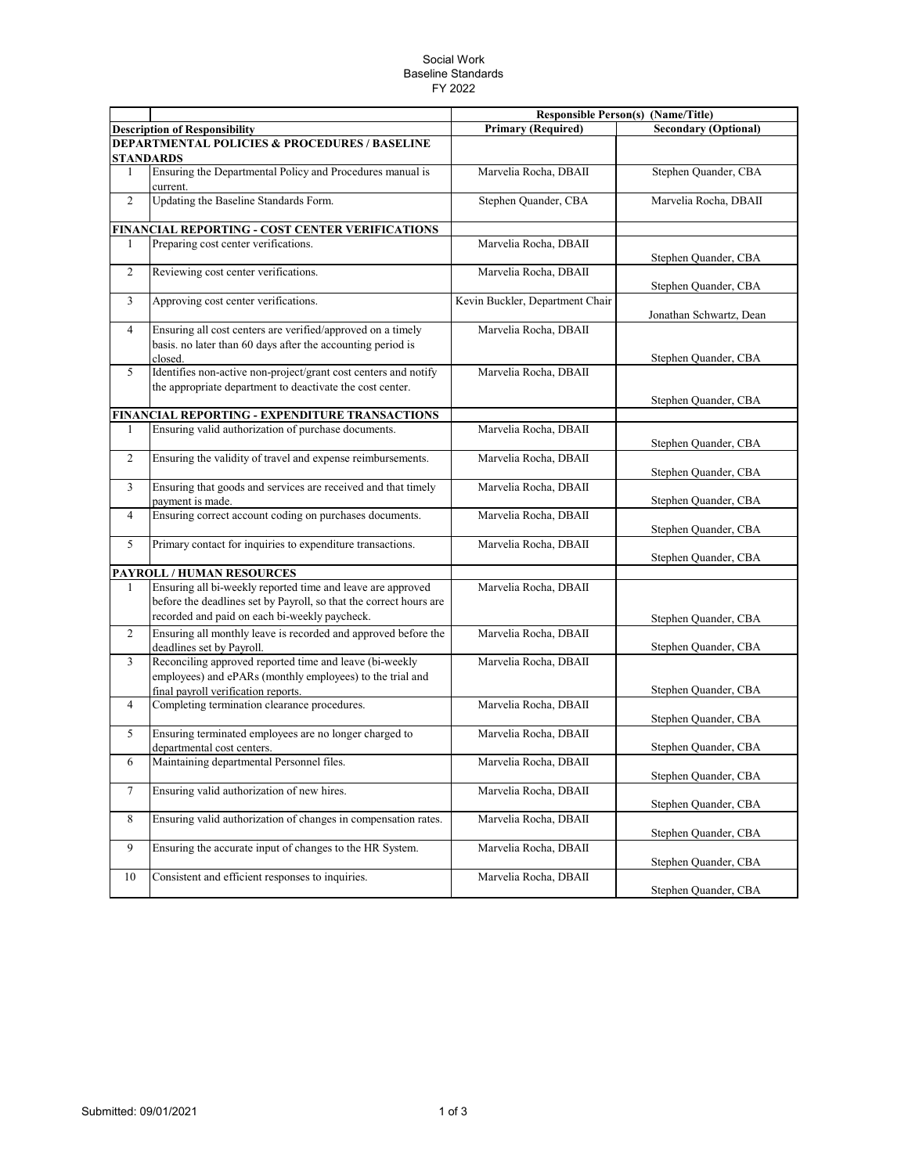## Social Work Baseline Standards FY 2022

|                |                                                                                                                                                                                    |                                 | <b>Responsible Person(s) (Name/Title)</b> |  |  |  |  |
|----------------|------------------------------------------------------------------------------------------------------------------------------------------------------------------------------------|---------------------------------|-------------------------------------------|--|--|--|--|
|                | <b>Description of Responsibility</b>                                                                                                                                               | <b>Primary (Required)</b>       | <b>Secondary (Optional)</b>               |  |  |  |  |
|                | <b>DEPARTMENTAL POLICIES &amp; PROCEDURES / BASELINE</b>                                                                                                                           |                                 |                                           |  |  |  |  |
|                | <b>STANDARDS</b>                                                                                                                                                                   |                                 |                                           |  |  |  |  |
| 1              | Ensuring the Departmental Policy and Procedures manual is<br>current.                                                                                                              | Marvelia Rocha, DBAII           | Stephen Quander, CBA                      |  |  |  |  |
| $\overline{c}$ | Updating the Baseline Standards Form.                                                                                                                                              | Stephen Quander, CBA            | Marvelia Rocha, DBAII                     |  |  |  |  |
|                | FINANCIAL REPORTING - COST CENTER VERIFICATIONS                                                                                                                                    |                                 |                                           |  |  |  |  |
| 1              | Preparing cost center verifications.                                                                                                                                               | Marvelia Rocha, DBAII           | Stephen Quander, CBA                      |  |  |  |  |
| 2              | Reviewing cost center verifications.                                                                                                                                               | Marvelia Rocha, DBAII           | Stephen Quander, CBA                      |  |  |  |  |
| 3              | Approving cost center verifications.                                                                                                                                               | Kevin Buckler, Department Chair | Jonathan Schwartz, Dean                   |  |  |  |  |
| $\overline{4}$ | Ensuring all cost centers are verified/approved on a timely                                                                                                                        | Marvelia Rocha, DBAII           |                                           |  |  |  |  |
|                | basis. no later than 60 days after the accounting period is<br>closed.                                                                                                             |                                 | Stephen Quander, CBA                      |  |  |  |  |
| 5              | Identifies non-active non-project/grant cost centers and notify                                                                                                                    | Marvelia Rocha, DBAII           |                                           |  |  |  |  |
|                | the appropriate department to deactivate the cost center.                                                                                                                          |                                 | Stephen Quander, CBA                      |  |  |  |  |
|                | FINANCIAL REPORTING - EXPENDITURE TRANSACTIONS                                                                                                                                     |                                 |                                           |  |  |  |  |
| 1              | Ensuring valid authorization of purchase documents.                                                                                                                                | Marvelia Rocha, DBAII           |                                           |  |  |  |  |
|                |                                                                                                                                                                                    |                                 | Stephen Quander, CBA                      |  |  |  |  |
| $\overline{c}$ | Ensuring the validity of travel and expense reimbursements.                                                                                                                        | Marvelia Rocha, DBAII           | Stephen Quander, CBA                      |  |  |  |  |
| 3              | Ensuring that goods and services are received and that timely                                                                                                                      | Marvelia Rocha, DBAII           |                                           |  |  |  |  |
|                | payment is made.                                                                                                                                                                   |                                 | Stephen Quander, CBA                      |  |  |  |  |
| $\overline{4}$ | Ensuring correct account coding on purchases documents.                                                                                                                            | Marvelia Rocha, DBAII           | Stephen Quander, CBA                      |  |  |  |  |
| 5              | Primary contact for inquiries to expenditure transactions.                                                                                                                         | Marvelia Rocha, DBAII           | Stephen Quander, CBA                      |  |  |  |  |
|                | PAYROLL / HUMAN RESOURCES                                                                                                                                                          |                                 |                                           |  |  |  |  |
| 1              | Ensuring all bi-weekly reported time and leave are approved<br>before the deadlines set by Payroll, so that the correct hours are<br>recorded and paid on each bi-weekly paycheck. | Marvelia Rocha, DBAII           |                                           |  |  |  |  |
|                |                                                                                                                                                                                    |                                 | Stephen Quander, CBA                      |  |  |  |  |
| $\overline{c}$ | Ensuring all monthly leave is recorded and approved before the<br>deadlines set by Payroll.                                                                                        | Marvelia Rocha, DBAII           | Stephen Quander, CBA                      |  |  |  |  |
| 3              | Reconciling approved reported time and leave (bi-weekly<br>employees) and ePARs (monthly employees) to the trial and<br>final payroll verification reports.                        | Marvelia Rocha, DBAII           | Stephen Quander, CBA                      |  |  |  |  |
| 4              | Completing termination clearance procedures.                                                                                                                                       | Marvelia Rocha, DBAII           | Stephen Quander, CBA                      |  |  |  |  |
| 5              | Ensuring terminated employees are no longer charged to<br>departmental cost centers.                                                                                               | Marvelia Rocha, DBAII           | Stephen Quander, CBA                      |  |  |  |  |
| 6              | Maintaining departmental Personnel files.                                                                                                                                          | Marvelia Rocha, DBAII           | Stephen Quander, CBA                      |  |  |  |  |
| $\tau$         | Ensuring valid authorization of new hires.                                                                                                                                         | Marvelia Rocha, DBAII           | Stephen Quander, CBA                      |  |  |  |  |
| 8              | Ensuring valid authorization of changes in compensation rates.                                                                                                                     | Marvelia Rocha, DBAII           | Stephen Quander, CBA                      |  |  |  |  |
| 9              | Ensuring the accurate input of changes to the HR System.                                                                                                                           | Marvelia Rocha, DBAII           | Stephen Quander, CBA                      |  |  |  |  |
| 10             | Consistent and efficient responses to inquiries.                                                                                                                                   | Marvelia Rocha, DBAII           | Stephen Quander, CBA                      |  |  |  |  |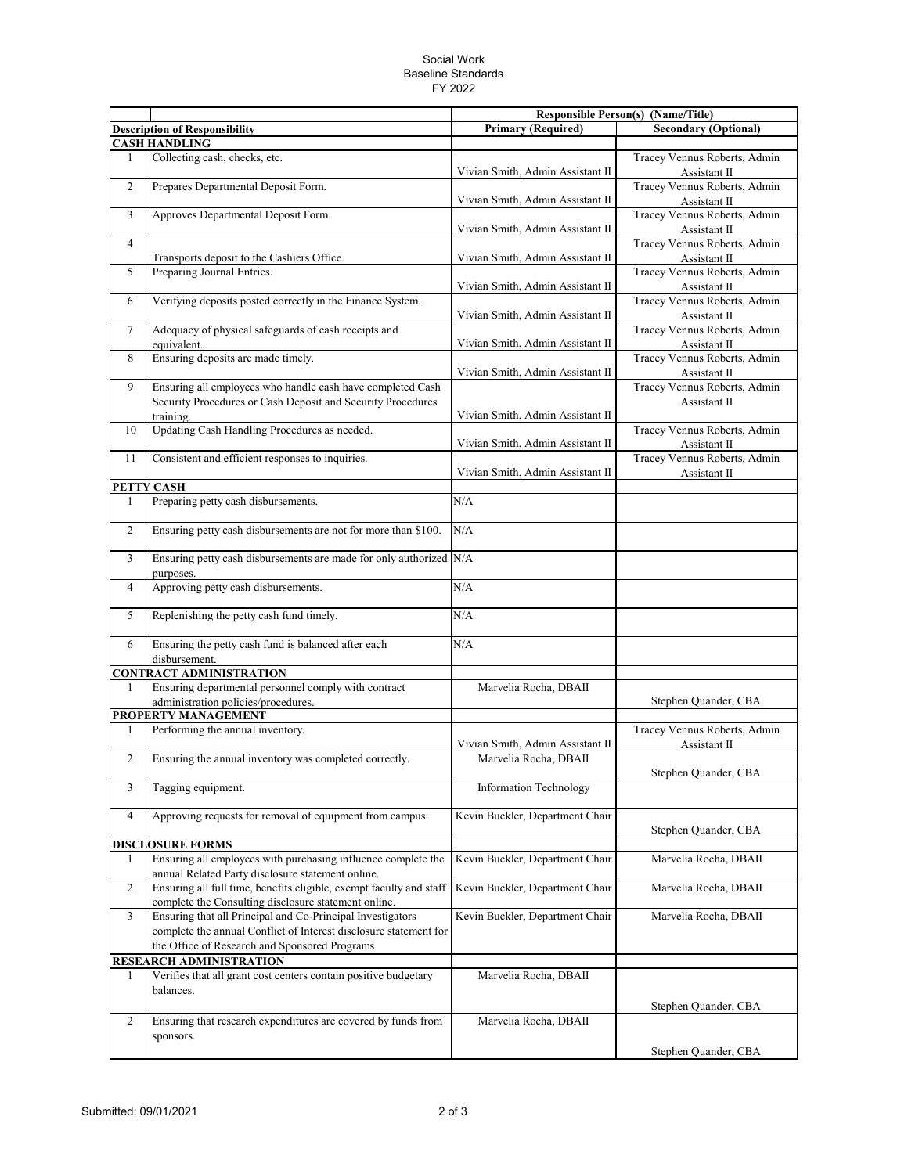## Social Work Baseline Standards FY 2022

|                                |                                                                                                                                                                                  |                                  | <b>Responsible Person(s) (Name/Title)</b>    |  |
|--------------------------------|----------------------------------------------------------------------------------------------------------------------------------------------------------------------------------|----------------------------------|----------------------------------------------|--|
|                                | <b>Description of Responsibility</b>                                                                                                                                             | <b>Primary (Required)</b>        | <b>Secondary (Optional)</b>                  |  |
| <b>CASH HANDLING</b>           |                                                                                                                                                                                  |                                  |                                              |  |
| 1                              | Collecting cash, checks, etc.                                                                                                                                                    | Vivian Smith, Admin Assistant II | Tracey Vennus Roberts, Admin<br>Assistant II |  |
| $\overline{c}$                 | Prepares Departmental Deposit Form.                                                                                                                                              | Vivian Smith, Admin Assistant II | Tracey Vennus Roberts, Admin<br>Assistant II |  |
| 3                              | Approves Departmental Deposit Form.                                                                                                                                              | Vivian Smith, Admin Assistant II | Tracey Vennus Roberts, Admin<br>Assistant II |  |
| $\overline{4}$                 | Transports deposit to the Cashiers Office.                                                                                                                                       | Vivian Smith, Admin Assistant II | Tracey Vennus Roberts, Admin<br>Assistant II |  |
| 5                              | Preparing Journal Entries.                                                                                                                                                       | Vivian Smith, Admin Assistant II | Tracey Vennus Roberts, Admin<br>Assistant II |  |
| 6                              | Verifying deposits posted correctly in the Finance System.                                                                                                                       | Vivian Smith, Admin Assistant II | Tracey Vennus Roberts, Admin<br>Assistant II |  |
| $\overline{7}$                 | Adequacy of physical safeguards of cash receipts and<br>equivalent.                                                                                                              | Vivian Smith, Admin Assistant II | Tracey Vennus Roberts, Admin<br>Assistant II |  |
| 8                              | Ensuring deposits are made timely.                                                                                                                                               | Vivian Smith, Admin Assistant II | Tracey Vennus Roberts, Admin<br>Assistant II |  |
| 9                              | Ensuring all employees who handle cash have completed Cash                                                                                                                       |                                  | Tracey Vennus Roberts, Admin                 |  |
|                                | Security Procedures or Cash Deposit and Security Procedures                                                                                                                      |                                  | Assistant II                                 |  |
|                                | training.                                                                                                                                                                        | Vivian Smith, Admin Assistant II |                                              |  |
| 10                             | Updating Cash Handling Procedures as needed.                                                                                                                                     | Vivian Smith, Admin Assistant II | Tracey Vennus Roberts, Admin<br>Assistant II |  |
| 11                             | Consistent and efficient responses to inquiries.                                                                                                                                 |                                  | Tracey Vennus Roberts, Admin                 |  |
|                                |                                                                                                                                                                                  | Vivian Smith, Admin Assistant II | Assistant II                                 |  |
| 1                              | PETTY CASH<br>Preparing petty cash disbursements.                                                                                                                                | N/A                              |                                              |  |
| $\overline{c}$                 | Ensuring petty cash disbursements are not for more than \$100.                                                                                                                   | N/A                              |                                              |  |
|                                |                                                                                                                                                                                  |                                  |                                              |  |
| 3                              | Ensuring petty cash disbursements are made for only authorized N/A<br>purposes.                                                                                                  |                                  |                                              |  |
| $\overline{4}$                 | Approving petty cash disbursements.                                                                                                                                              | N/A                              |                                              |  |
| 5                              | Replenishing the petty cash fund timely.                                                                                                                                         | N/A                              |                                              |  |
| 6                              | Ensuring the petty cash fund is balanced after each<br>disbursement.                                                                                                             | N/A                              |                                              |  |
| <b>CONTRACT ADMINISTRATION</b> |                                                                                                                                                                                  |                                  |                                              |  |
| 1                              | Ensuring departmental personnel comply with contract<br>administration policies/procedures.                                                                                      | Marvelia Rocha, DBAII            | Stephen Quander, CBA                         |  |
|                                | PROPERTY MANAGEMENT                                                                                                                                                              |                                  |                                              |  |
| 1                              | Performing the annual inventory.                                                                                                                                                 | Vivian Smith, Admin Assistant II | Tracey Vennus Roberts, Admin<br>Assistant II |  |
| $\overline{c}$                 | Ensuring the annual inventory was completed correctly.                                                                                                                           | Marvelia Rocha, DBAII            | Stephen Quander, CBA                         |  |
| 3                              | Tagging equipment.                                                                                                                                                               | Information Technology           |                                              |  |
| 4                              | Approving requests for removal of equipment from campus.                                                                                                                         | Kevin Buckler, Department Chair  | Stephen Quander, CBA                         |  |
|                                | <b>DISCLOSURE FORMS</b>                                                                                                                                                          |                                  |                                              |  |
| 1                              | Ensuring all employees with purchasing influence complete the<br>annual Related Party disclosure statement online.                                                               | Kevin Buckler, Department Chair  | Marvelia Rocha, DBAII                        |  |
| $\overline{c}$                 | Ensuring all full time, benefits eligible, exempt faculty and staff<br>complete the Consulting disclosure statement online.                                                      | Kevin Buckler, Department Chair  | Marvelia Rocha, DBAII                        |  |
| 3                              | Ensuring that all Principal and Co-Principal Investigators<br>complete the annual Conflict of Interest disclosure statement for<br>the Office of Research and Sponsored Programs | Kevin Buckler, Department Chair  | Marvelia Rocha, DBAII                        |  |
|                                | <b>RESEARCH ADMINISTRATION</b>                                                                                                                                                   |                                  |                                              |  |
| 1                              | Verifies that all grant cost centers contain positive budgetary<br>balances.                                                                                                     | Marvelia Rocha, DBAII            |                                              |  |
| $\overline{c}$                 | Ensuring that research expenditures are covered by funds from                                                                                                                    | Marvelia Rocha, DBAII            | Stephen Quander, CBA                         |  |
|                                | sponsors.                                                                                                                                                                        |                                  |                                              |  |
|                                |                                                                                                                                                                                  |                                  | Stephen Quander, CBA                         |  |